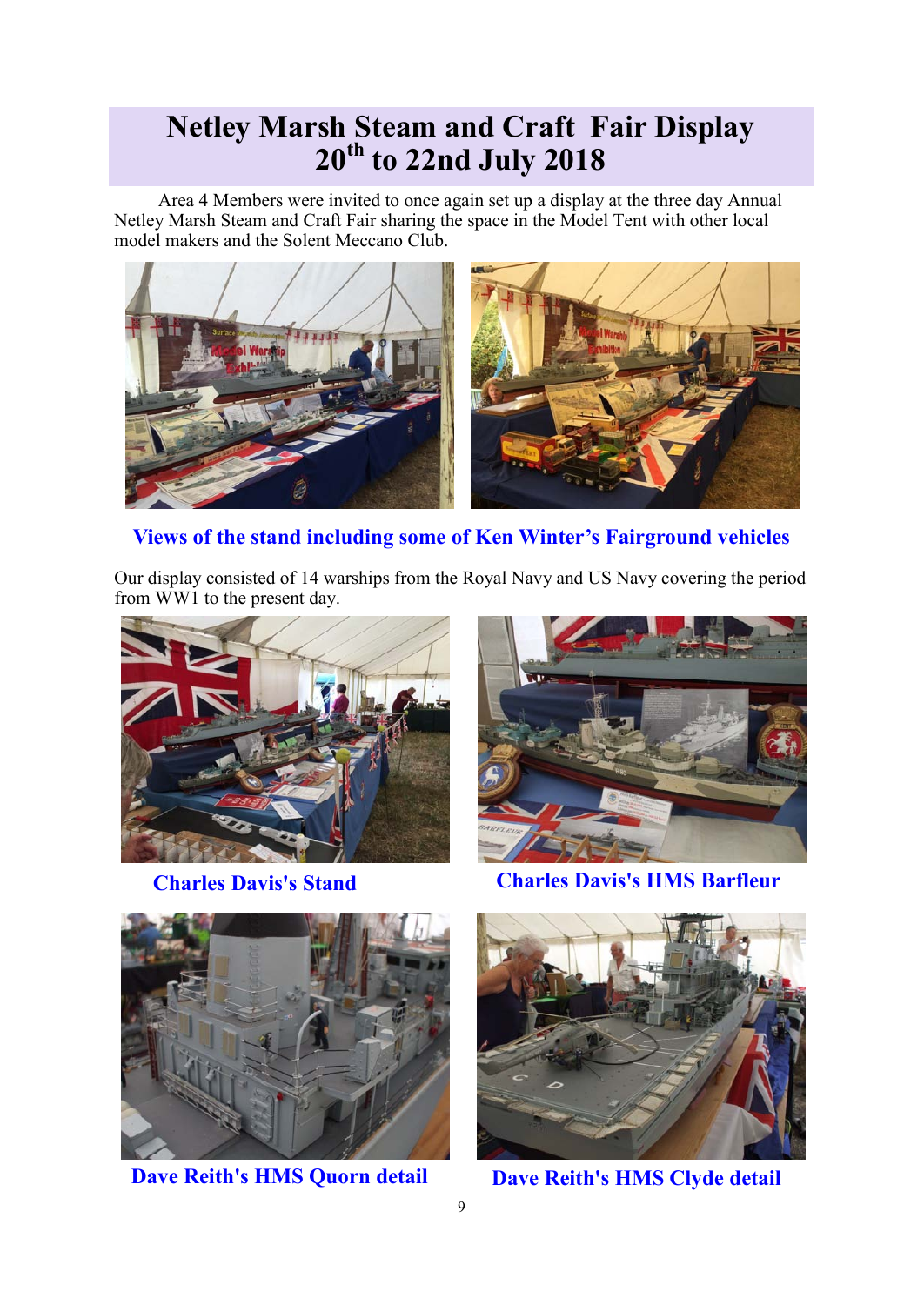## **Netley Marsh Steam and Craft Fair Display 20th to 22nd July 2018**

Area 4 Members were invited to once again set up a display at the three day Annual Netley Marsh Steam and Craft Fair sharing the space in the Model Tent with other local model makers and the Solent Meccano Club.



**Views of the stand including some of Ken Winter's Fairground vehicles**

Our display consisted of 14 warships from the Royal Navy and US Navy covering the period from WW1 to the present day.







**Dave Reith's HMS Quorn detail Dave Reith's HMS Clyde detail**

**Charles Davis's Stand Charles Davis's HMS Barfleur**